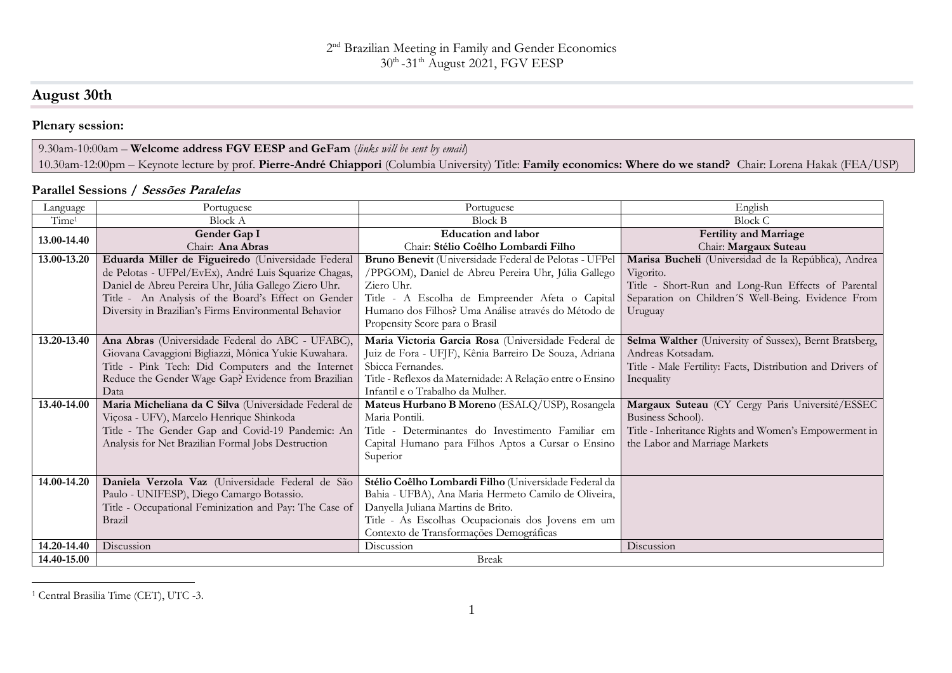# **August 30th**

## **Plenary session:**

#### 9.30am-10:00am – **Welcome address FGV EESP and GeFam** (*links will be sent by email*) 10.30am-12:00pm – Keynote lecture by prof. **Pierre-André Chiappori** (Columbia University) Title: **Family economics: Where do we stand?** Chair: Lorena Hakak (FEA/USP)

#### **Parallel Sessions / Sessões Paralelas**

| Language          | Portuguese                                             | Portuguese                                                | English                                                    |
|-------------------|--------------------------------------------------------|-----------------------------------------------------------|------------------------------------------------------------|
| Time <sup>1</sup> | <b>Block A</b>                                         | <b>Block B</b>                                            | <b>Block C</b>                                             |
| 13.00-14.40       | Gender Gap I                                           | <b>Education and labor</b>                                | <b>Fertility and Marriage</b>                              |
|                   | Chair: Ana Abras                                       | Chair: Stélio Coêlho Lombardi Filho                       | Chair: Margaux Suteau                                      |
| 13.00-13.20       | Eduarda Miller de Figueiredo (Universidade Federal     | Bruno Benevit (Universidade Federal de Pelotas - UFPel    | Marisa Bucheli (Universidad de la República), Andrea       |
|                   | de Pelotas - UFPel/EvEx), André Luis Squarize Chagas,  | /PPGOM), Daniel de Abreu Pereira Uhr, Júlia Gallego       | Vigorito.                                                  |
|                   | Daniel de Abreu Pereira Uhr, Júlia Gallego Ziero Uhr.  | Ziero Uhr.                                                | Title - Short-Run and Long-Run Effects of Parental         |
|                   | Title - An Analysis of the Board's Effect on Gender    | Title - A Escolha de Empreender Afeta o Capital           | Separation on Children'S Well-Being. Evidence From         |
|                   | Diversity in Brazilian's Firms Environmental Behavior  | Humano dos Filhos? Uma Análise através do Método de       | Uruguay                                                    |
|                   |                                                        | Propensity Score para o Brasil                            |                                                            |
| 13.20-13.40       | Ana Abras (Universidade Federal do ABC - UFABC),       | Maria Victoria Garcia Rosa (Universidade Federal de       | Selma Walther (University of Sussex), Bernt Bratsberg,     |
|                   | Giovana Cavaggioni Bigliazzi, Mônica Yukie Kuwahara.   | Juiz de Fora - UFJF), Kênia Barreiro De Souza, Adriana    | Andreas Kotsadam.                                          |
|                   | Title - Pink Tech: Did Computers and the Internet      | Sbicca Fernandes.                                         | Title - Male Fertility: Facts, Distribution and Drivers of |
|                   | Reduce the Gender Wage Gap? Evidence from Brazilian    | Title - Reflexos da Maternidade: A Relação entre o Ensino | Inequality                                                 |
|                   | Data                                                   | Infantil e o Trabalho da Mulher.                          |                                                            |
| 13.40-14.00       | Maria Micheliana da C Silva (Universidade Federal de   | Mateus Hurbano B Moreno (ESALQ/USP), Rosangela            | Margaux Suteau (CY Cergy Paris Université/ESSEC            |
|                   | Viçosa - UFV), Marcelo Henrique Shinkoda               | Maria Pontili.                                            | Business School).                                          |
|                   | Title - The Gender Gap and Covid-19 Pandemic: An       | Title - Determinantes do Investimento Familiar em         | Title - Inheritance Rights and Women's Empowerment in      |
|                   | Analysis for Net Brazilian Formal Jobs Destruction     | Capital Humano para Filhos Aptos a Cursar o Ensino        | the Labor and Marriage Markets                             |
|                   |                                                        | Superior                                                  |                                                            |
|                   |                                                        |                                                           |                                                            |
| 14.00-14.20       | Daniela Verzola Vaz (Universidade Federal de São       | Stélio Coêlho Lombardi Filho (Universidade Federal da     |                                                            |
|                   | Paulo - UNIFESP), Diego Camargo Botassio.              | Bahia - UFBA), Ana Maria Hermeto Camilo de Oliveira,      |                                                            |
|                   | Title - Occupational Feminization and Pay: The Case of | Danyella Juliana Martins de Brito.                        |                                                            |
|                   | Brazil                                                 | Title - As Escolhas Ocupacionais dos Jovens em um         |                                                            |
|                   |                                                        | Contexto de Transformações Demográficas                   |                                                            |
| 14.20-14.40       | Discussion                                             | Discussion                                                | Discussion                                                 |
| 14.40-15.00       | <b>Break</b>                                           |                                                           |                                                            |

 $\overline{a}$ <sup>1</sup> Central Brasilia Time (CET), UTC -3.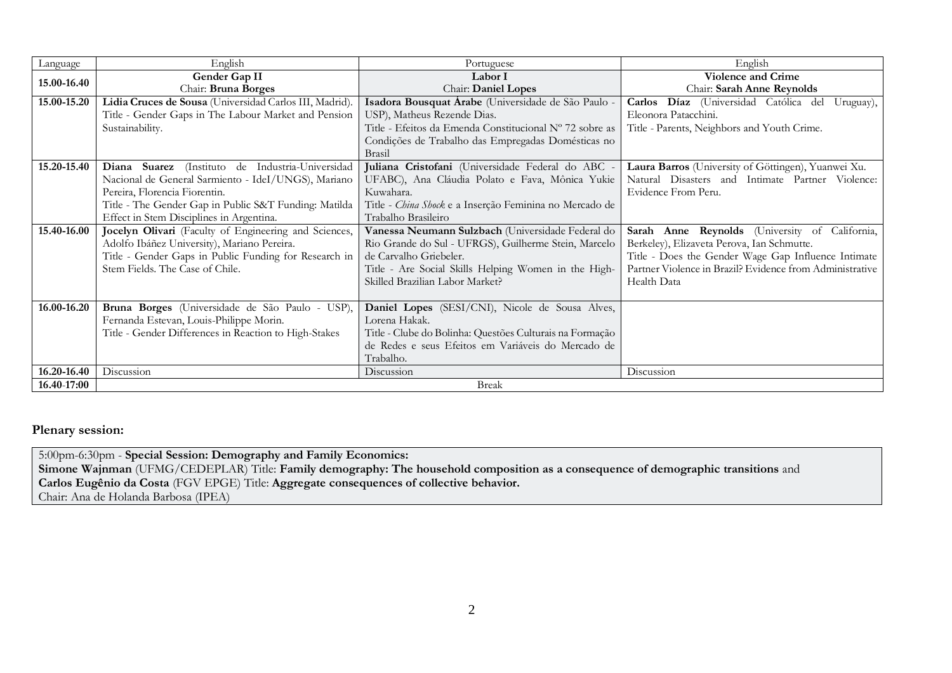| Language    | English                                                                                                                                                                                                                                       | Portuguese                                                                                                                                                                                                                     | English                                                                                                                                                                                                                        |
|-------------|-----------------------------------------------------------------------------------------------------------------------------------------------------------------------------------------------------------------------------------------------|--------------------------------------------------------------------------------------------------------------------------------------------------------------------------------------------------------------------------------|--------------------------------------------------------------------------------------------------------------------------------------------------------------------------------------------------------------------------------|
| 15.00-16.40 | Gender Gap II<br>Chair: Bruna Borges                                                                                                                                                                                                          | Labor I<br>Chair: Daniel Lopes                                                                                                                                                                                                 | <b>Violence and Crime</b><br>Chair: Sarah Anne Reynolds                                                                                                                                                                        |
| 15.00-15.20 | Lidia Cruces de Sousa (Universidad Carlos III, Madrid).                                                                                                                                                                                       | Isadora Bousquat Árabe (Universidade de São Paulo -                                                                                                                                                                            | Carlos Díaz (Universidad Católica del<br>Uruguay),<br>Eleonora Patacchini.                                                                                                                                                     |
|             | Title - Gender Gaps in The Labour Market and Pension<br>Sustainability.                                                                                                                                                                       | USP), Matheus Rezende Dias.<br>Title - Efeitos da Emenda Constitucional Nº 72 sobre as                                                                                                                                         | Title - Parents, Neighbors and Youth Crime.                                                                                                                                                                                    |
|             |                                                                                                                                                                                                                                               | Condições de Trabalho das Empregadas Domésticas no<br>Brasil                                                                                                                                                                   |                                                                                                                                                                                                                                |
| 15.20-15.40 | Diana Suarez (Instituto de Industria-Universidad<br>Nacional de General Sarmiento - IdeI/UNGS), Mariano<br>Pereira, Florencia Fiorentin.<br>Title - The Gender Gap in Public S&T Funding: Matilda<br>Effect in Stem Disciplines in Argentina. | Juliana Cristofani (Universidade Federal do ABC -<br>UFABC), Ana Cláudia Polato e Fava, Mônica Yukie<br>Kuwahara.<br>Title - China Shock e a Inserção Feminina no Mercado de<br>Trabalho Brasileiro                            | Laura Barros (University of Göttingen), Yuanwei Xu.<br>Natural Disasters and Intimate Partner Violence:<br>Evidence From Peru.                                                                                                 |
| 15.40-16.00 | Jocelyn Olivari (Faculty of Engineering and Sciences,<br>Adolfo Ibáñez University), Mariano Pereira.<br>Title - Gender Gaps in Public Funding for Research in<br>Stem Fields. The Case of Chile.                                              | Vanessa Neumann Sulzbach (Universidade Federal do<br>Rio Grande do Sul - UFRGS), Guilherme Stein, Marcelo<br>de Carvalho Griebeler.<br>Title - Are Social Skills Helping Women in the High-<br>Skilled Brazilian Labor Market? | Sarah Anne Reynolds (University of California,<br>Berkeley), Elizaveta Perova, Ian Schmutte.<br>Title - Does the Gender Wage Gap Influence Intimate<br>Partner Violence in Brazil? Evidence from Administrative<br>Health Data |
| 16.00-16.20 | Bruna Borges (Universidade de São Paulo - USP),<br>Fernanda Estevan, Louis-Philippe Morin.<br>Title - Gender Differences in Reaction to High-Stakes                                                                                           | Daniel Lopes (SESI/CNI), Nicole de Sousa Alves,<br>Lorena Hakak.<br>Title - Clube do Bolinha: Questões Culturais na Formação<br>de Redes e seus Efeitos em Variáveis do Mercado de<br>Trabalho.                                |                                                                                                                                                                                                                                |
| 16.20-16.40 | Discussion                                                                                                                                                                                                                                    | Discussion                                                                                                                                                                                                                     | Discussion                                                                                                                                                                                                                     |
| 16.40-17:00 |                                                                                                                                                                                                                                               | <b>Break</b>                                                                                                                                                                                                                   |                                                                                                                                                                                                                                |

### **Plenary session:**

5:00pm-6:30pm - **Special Session: Demography and Family Economics: Simone Wajnman** (UFMG/CEDEPLAR) Title: **Family demography: The household composition as a consequence of demographic transitions** and **Carlos Eugênio da Costa** (FGV EPGE) Title: **Aggregate consequences of collective behavior.** Chair: Ana de Holanda Barbosa (IPEA)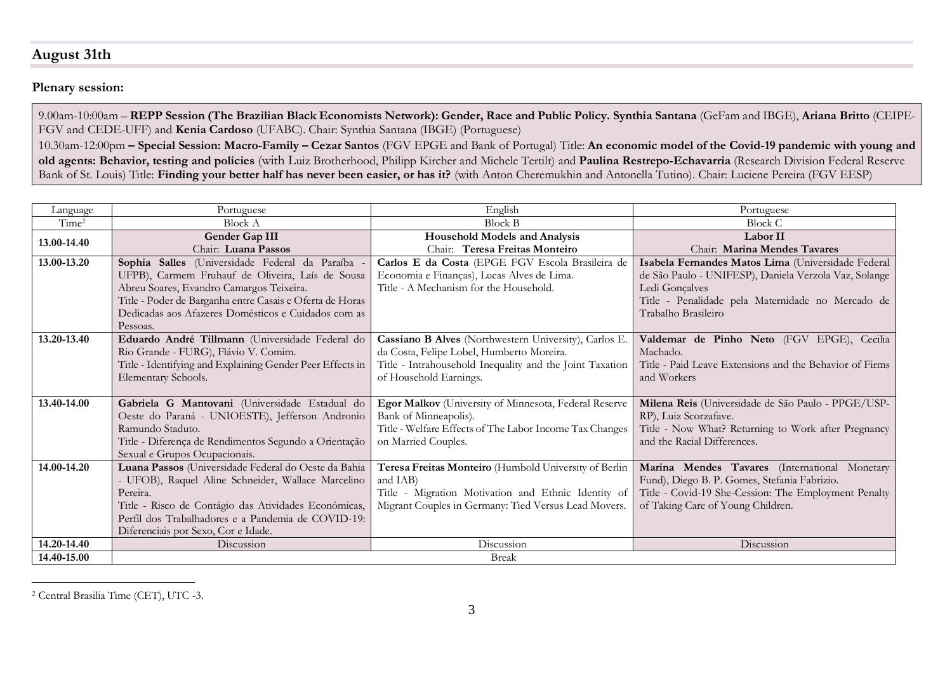# **August 31th**

### **Plenary session:**

9.00am-10:00am – **REPP Session (The Brazilian Black Economists Network): Gender, Race and Public Policy. Synthia Santana** (GeFam and IBGE), **Ariana Britto** (CEIPE-FGV and CEDE-UFF) and **Kenia Cardoso** (UFABC). Chair: Synthia Santana (IBGE) (Portuguese)

10.30am-12:00pm **– Special Session: Macro-Family – Cezar Santos** (FGV EPGE and Bank of Portugal) Title: **An economic model of the Covid-19 pandemic with young and old agents: Behavior, testing and policies** (with Luiz Brotherhood, Philipp Kircher and Michele Tertilt) and **Paulina Restrepo-Echavarria** (Research Division Federal Reserve Bank of St. Louis) Title: **Finding your better half has never been easier, or has it?** (with Anton Cheremukhin and Antonella Tutino). Chair: Luciene Pereira (FGV EESP)

| Language          | Portuguese                                                | English                                                  | Portuguese                                              |
|-------------------|-----------------------------------------------------------|----------------------------------------------------------|---------------------------------------------------------|
| Time <sup>2</sup> | <b>Block A</b>                                            | <b>Block B</b>                                           | Block C                                                 |
| 13.00-14.40       | Gender Gap III                                            | <b>Household Models and Analysis</b>                     | Labor II                                                |
|                   | Chair: Luana Passos                                       | Chair: Teresa Freitas Monteiro                           | Chair: Marina Mendes Tavares                            |
| 13.00-13.20       | Sophia Salles (Universidade Federal da Paraíba -          | Carlos E da Costa (EPGE FGV Escola Brasileira de         | Isabela Fernandes Matos Lima (Universidade Federal      |
|                   | UFPB), Carmem Fruhauf de Oliveira, Laís de Sousa          | Economia e Finanças), Lucas Alves de Lima.               | de São Paulo - UNIFESP), Daniela Verzola Vaz, Solange   |
|                   | Abreu Soares, Evandro Camargos Teixeira.                  | Title - A Mechanism for the Household.                   | Ledi Gonçalves                                          |
|                   | Title - Poder de Barganha entre Casais e Oferta de Horas  |                                                          | Title - Penalidade pela Maternidade no Mercado de       |
|                   | Dedicadas aos Afazeres Domésticos e Cuidados com as       |                                                          | Trabalho Brasileiro                                     |
|                   | Pessoas.                                                  |                                                          |                                                         |
| 13.20-13.40       | Eduardo André Tillmann (Universidade Federal do           | Cassiano B Alves (Northwestern University), Carlos E.    | Valdemar de Pinho Neto (FGV EPGE), Cecilia              |
|                   | Rio Grande - FURG), Flávio V. Comim.                      | da Costa, Felipe Lobel, Humberto Moreira.                | Machado.                                                |
|                   | Title - Identifying and Explaining Gender Peer Effects in | Title - Intrahousehold Inequality and the Joint Taxation | Title - Paid Leave Extensions and the Behavior of Firms |
|                   | Elementary Schools.                                       | of Household Earnings.                                   | and Workers                                             |
|                   |                                                           |                                                          |                                                         |
| 13.40-14.00       | Gabriela G Mantovani (Universidade Estadual do            | Egor Malkov (University of Minnesota, Federal Reserve    | Milena Reis (Universidade de São Paulo - PPGE/USP-      |
|                   | Oeste do Paraná - UNIOESTE), Jefferson Andronio           | Bank of Minneapolis).                                    | RP), Luiz Scorzafave.                                   |
|                   | Ramundo Staduto.                                          | Title - Welfare Effects of The Labor Income Tax Changes  | Title - Now What? Returning to Work after Pregnancy     |
|                   | Title - Diferença de Rendimentos Segundo a Orientação     | on Married Couples.                                      | and the Racial Differences.                             |
|                   | Sexual e Grupos Ocupacionais.                             |                                                          |                                                         |
| 14.00-14.20       | Luana Passos (Universidade Federal do Oeste da Bahia      | Teresa Freitas Monteiro (Humbold University of Berlin    | Marina Mendes Tavares (International Monetary           |
|                   | - UFOB), Raquel Aline Schneider, Wallace Marcelino        | and IAB)                                                 | Fund), Diego B. P. Gomes, Stefania Fabrizio.            |
|                   | Pereira.                                                  | Title - Migration Motivation and Ethnic Identity of      | Title - Covid-19 She-Cession: The Employment Penalty    |
|                   | Title - Risco de Contágio das Atividades Econômicas,      | Migrant Couples in Germany: Tied Versus Lead Movers.     | of Taking Care of Young Children.                       |
|                   | Perfil dos Trabalhadores e a Pandemia de COVID-19:        |                                                          |                                                         |
|                   | Diferenciais por Sexo, Cor e Idade.                       |                                                          |                                                         |
| 14.20-14.40       | Discussion                                                | Discussion                                               | Discussion                                              |
| 14.40-15.00       | <b>Break</b>                                              |                                                          |                                                         |

 $\overline{a}$ <sup>2</sup> Central Brasilia Time (CET), UTC -3.